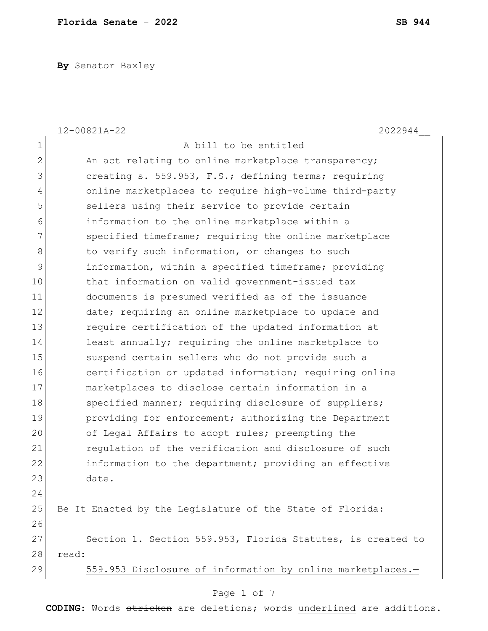**By** Senator Baxley

|               | 12-00821A-22<br>2022944                                     |
|---------------|-------------------------------------------------------------|
| $\mathbf 1$   | A bill to be entitled                                       |
| $\mathbf{2}$  | An act relating to online marketplace transparency;         |
| 3             | creating s. 559.953, F.S.; defining terms; requiring        |
| 4             | online marketplaces to require high-volume third-party      |
| 5             | sellers using their service to provide certain              |
| 6             | information to the online marketplace within a              |
| 7             | specified timeframe; requiring the online marketplace       |
| 8             | to verify such information, or changes to such              |
| $\mathcal{G}$ | information, within a specified timeframe; providing        |
| 10            | that information on valid government-issued tax             |
| 11            | documents is presumed verified as of the issuance           |
| 12            | date; requiring an online marketplace to update and         |
| 13            | require certification of the updated information at         |
| 14            | least annually; requiring the online marketplace to         |
| 15            | suspend certain sellers who do not provide such a           |
| 16            | certification or updated information; requiring online      |
| 17            | marketplaces to disclose certain information in a           |
| 18            | specified manner; requiring disclosure of suppliers;        |
| 19            | providing for enforcement; authorizing the Department       |
| 20            | of Legal Affairs to adopt rules; preempting the             |
| 21            | regulation of the verification and disclosure of such       |
| 22            | information to the department; providing an effective       |
| 23            | date.                                                       |
| 24            |                                                             |
| 25            | Be It Enacted by the Legislature of the State of Florida:   |
| 26            |                                                             |
| 27            | Section 1. Section 559.953, Florida Statutes, is created to |
| 28            | read:                                                       |
| 29            | 559.953 Disclosure of information by online marketplaces.-  |
|               | Page 1 of 7                                                 |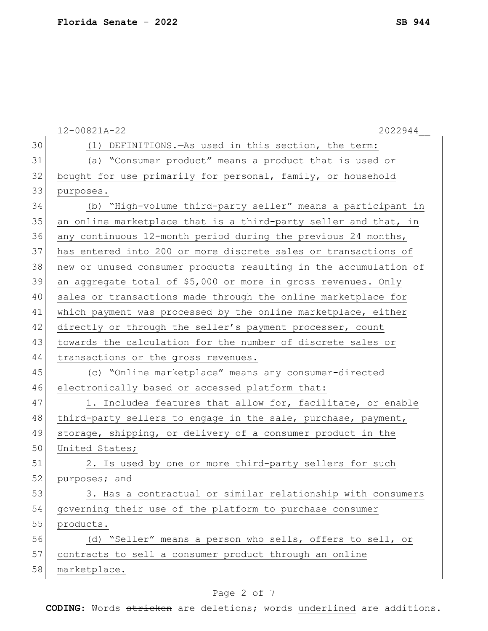|    | 12-00821A-22<br>2022944                                          |
|----|------------------------------------------------------------------|
| 30 | (1) DEFINITIONS. - As used in this section, the term:            |
| 31 | (a) "Consumer product" means a product that is used or           |
| 32 | bought for use primarily for personal, family, or household      |
| 33 | purposes.                                                        |
| 34 | (b) "High-volume third-party seller" means a participant in      |
| 35 | an online marketplace that is a third-party seller and that, in  |
| 36 | any continuous 12-month period during the previous 24 months,    |
| 37 | has entered into 200 or more discrete sales or transactions of   |
| 38 | new or unused consumer products resulting in the accumulation of |
| 39 | an aggregate total of \$5,000 or more in gross revenues. Only    |
| 40 | sales or transactions made through the online marketplace for    |
| 41 | which payment was processed by the online marketplace, either    |
| 42 | directly or through the seller's payment processer, count        |
| 43 | towards the calculation for the number of discrete sales or      |
| 44 | transactions or the gross revenues.                              |
| 45 | (c) "Online marketplace" means any consumer-directed             |
| 46 | electronically based or accessed platform that:                  |
| 47 | 1. Includes features that allow for, facilitate, or enable       |
| 48 | third-party sellers to engage in the sale, purchase, payment,    |
| 49 | storage, shipping, or delivery of a consumer product in the      |
| 50 | United States;                                                   |
| 51 | 2. Is used by one or more third-party sellers for such           |
| 52 | purposes; and                                                    |
| 53 | 3. Has a contractual or similar relationship with consumers      |
| 54 | governing their use of the platform to purchase consumer         |
| 55 | products.                                                        |
| 56 | (d) "Seller" means a person who sells, offers to sell, or        |
| 57 | contracts to sell a consumer product through an online           |
| 58 | marketplace.                                                     |

# Page 2 of 7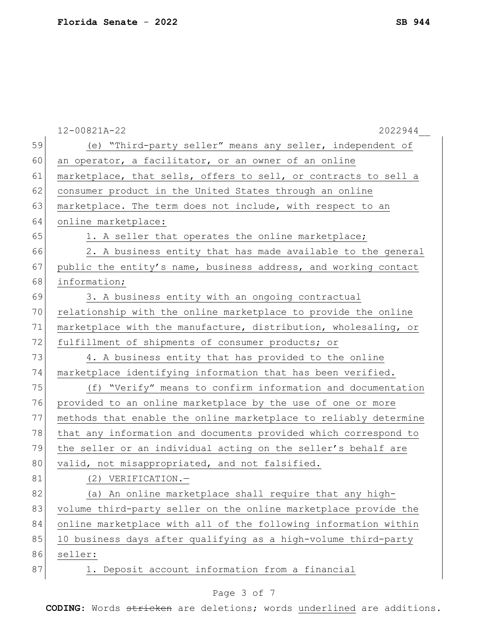|    | 12-00821A-22<br>2022944                                          |
|----|------------------------------------------------------------------|
| 59 | (e) "Third-party seller" means any seller, independent of        |
| 60 | an operator, a facilitator, or an owner of an online             |
| 61 | marketplace, that sells, offers to sell, or contracts to sell a  |
| 62 | consumer product in the United States through an online          |
| 63 | marketplace. The term does not include, with respect to an       |
| 64 | online marketplace:                                              |
| 65 | 1. A seller that operates the online marketplace;                |
| 66 | 2. A business entity that has made available to the general      |
| 67 | public the entity's name, business address, and working contact  |
| 68 | information;                                                     |
| 69 | 3. A business entity with an ongoing contractual                 |
| 70 | relationship with the online marketplace to provide the online   |
| 71 | marketplace with the manufacture, distribution, wholesaling, or  |
| 72 | fulfillment of shipments of consumer products; or                |
| 73 | 4. A business entity that has provided to the online             |
| 74 | marketplace identifying information that has been verified.      |
| 75 | (f) "Verify" means to confirm information and documentation      |
| 76 | provided to an online marketplace by the use of one or more      |
| 77 | methods that enable the online marketplace to reliably determine |
| 78 | that any information and documents provided which correspond to  |
| 79 | the seller or an individual acting on the seller's behalf are    |
| 80 | valid, not misappropriated, and not falsified.                   |
| 81 | (2) VERIFICATION.-                                               |
| 82 | (a) An online marketplace shall require that any high-           |
| 83 | volume third-party seller on the online marketplace provide the  |
| 84 | online marketplace with all of the following information within  |
| 85 | 10 business days after qualifying as a high-volume third-party   |
| 86 | seller:                                                          |
| 87 | 1. Deposit account information from a financial                  |
|    |                                                                  |

# Page 3 of 7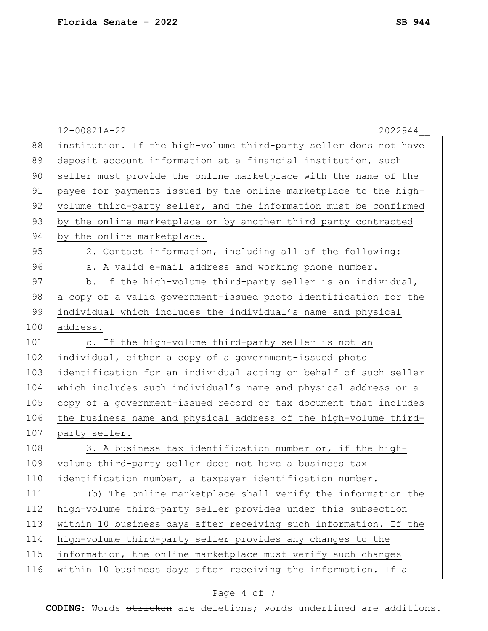|     | 12-00821A-22<br>2022944                                          |
|-----|------------------------------------------------------------------|
| 88  | institution. If the high-volume third-party seller does not have |
| 89  | deposit account information at a financial institution, such     |
| 90  | seller must provide the online marketplace with the name of the  |
| 91  | payee for payments issued by the online marketplace to the high- |
| 92  | volume third-party seller, and the information must be confirmed |
| 93  | by the online marketplace or by another third party contracted   |
| 94  | by the online marketplace.                                       |
| 95  | 2. Contact information, including all of the following:          |
| 96  | a. A valid e-mail address and working phone number.              |
| 97  | b. If the high-volume third-party seller is an individual,       |
| 98  | a copy of a valid government-issued photo identification for the |
| 99  | individual which includes the individual's name and physical     |
| 100 | address.                                                         |
| 101 | c. If the high-volume third-party seller is not an               |
| 102 | individual, either a copy of a government-issued photo           |
| 103 | identification for an individual acting on behalf of such seller |
| 104 | which includes such individual's name and physical address or a  |
| 105 | copy of a government-issued record or tax document that includes |
| 106 | the business name and physical address of the high-volume third- |
| 107 | party seller.                                                    |
| 108 | 3. A business tax identification number or, if the high-         |
| 109 | volume third-party seller does not have a business tax           |
| 110 | identification number, a taxpayer identification number.         |
| 111 | (b) The online marketplace shall verify the information the      |
| 112 | high-volume third-party seller provides under this subsection    |
| 113 | within 10 business days after receiving such information. If the |
| 114 | high-volume third-party seller provides any changes to the       |
| 115 | information, the online marketplace must verify such changes     |
| 116 | within 10 business days after receiving the information. If a    |
|     |                                                                  |

# Page 4 of 7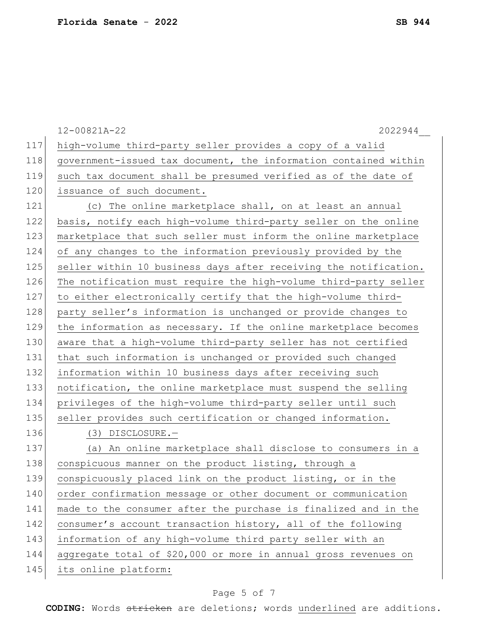|     | 12-00821A-22<br>2022944                                          |
|-----|------------------------------------------------------------------|
| 117 | high-volume third-party seller provides a copy of a valid        |
| 118 | government-issued tax document, the information contained within |
| 119 | such tax document shall be presumed verified as of the date of   |
| 120 | issuance of such document.                                       |
| 121 | (c) The online marketplace shall, on at least an annual          |
| 122 | basis, notify each high-volume third-party seller on the online  |
| 123 | marketplace that such seller must inform the online marketplace  |
| 124 | of any changes to the information previously provided by the     |
| 125 | seller within 10 business days after receiving the notification. |
| 126 | The notification must require the high-volume third-party seller |
| 127 | to either electronically certify that the high-volume third-     |
| 128 | party seller's information is unchanged or provide changes to    |
| 129 | the information as necessary. If the online marketplace becomes  |
| 130 | aware that a high-volume third-party seller has not certified    |
| 131 | that such information is unchanged or provided such changed      |
| 132 | information within 10 business days after receiving such         |
| 133 | notification, the online marketplace must suspend the selling    |
| 134 | privileges of the high-volume third-party seller until such      |
| 135 | seller provides such certification or changed information.       |
| 136 | $(3)$ DISCLOSURE. $-$                                            |
| 137 | (a) An online marketplace shall disclose to consumers in a       |
| 138 | conspicuous manner on the product listing, through a             |
| 139 | conspicuously placed link on the product listing, or in the      |
| 140 | order confirmation message or other document or communication    |
| 141 | made to the consumer after the purchase is finalized and in the  |
| 142 | consumer's account transaction history, all of the following     |
| 143 | information of any high-volume third party seller with an        |
| 144 | aggregate total of \$20,000 or more in annual gross revenues on  |
| 145 | its online platform:                                             |

# Page 5 of 7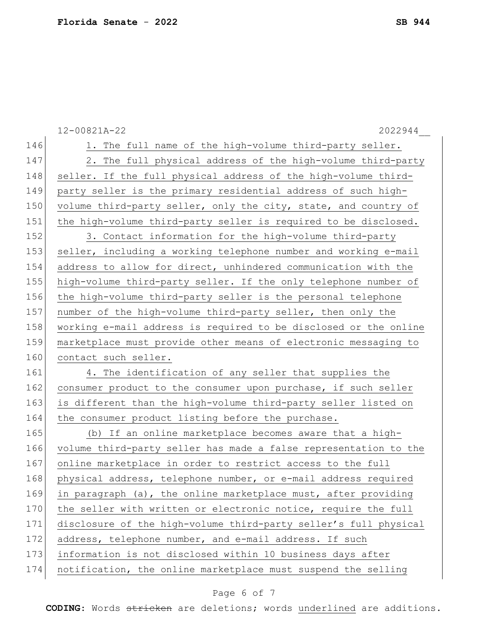|     | 12-00821A-22<br>2022944                                          |
|-----|------------------------------------------------------------------|
| 146 | 1. The full name of the high-volume third-party seller.          |
| 147 | 2. The full physical address of the high-volume third-party      |
| 148 | seller. If the full physical address of the high-volume third-   |
| 149 | party seller is the primary residential address of such high-    |
| 150 | volume third-party seller, only the city, state, and country of  |
| 151 | the high-volume third-party seller is required to be disclosed.  |
| 152 | 3. Contact information for the high-volume third-party           |
| 153 | seller, including a working telephone number and working e-mail  |
| 154 | address to allow for direct, unhindered communication with the   |
| 155 | high-volume third-party seller. If the only telephone number of  |
| 156 | the high-volume third-party seller is the personal telephone     |
| 157 | number of the high-volume third-party seller, then only the      |
| 158 | working e-mail address is required to be disclosed or the online |
| 159 | marketplace must provide other means of electronic messaging to  |
| 160 | contact such seller.                                             |
| 161 | 4. The identification of any seller that supplies the            |
| 162 | consumer product to the consumer upon purchase, if such seller   |
| 163 | is different than the high-volume third-party seller listed on   |
| 164 | the consumer product listing before the purchase.                |
| 165 | (b) If an online marketplace becomes aware that a high-          |
| 166 | volume third-party seller has made a false representation to the |
| 167 | online marketplace in order to restrict access to the full       |
| 168 | physical address, telephone number, or e-mail address required   |
| 169 | in paragraph (a), the online marketplace must, after providing   |
| 170 | the seller with written or electronic notice, require the full   |
| 171 | disclosure of the high-volume third-party seller's full physical |
| 172 | address, telephone number, and e-mail address. If such           |
| 173 | information is not disclosed within 10 business days after       |
| 174 | notification, the online marketplace must suspend the selling    |
|     |                                                                  |

# Page 6 of 7